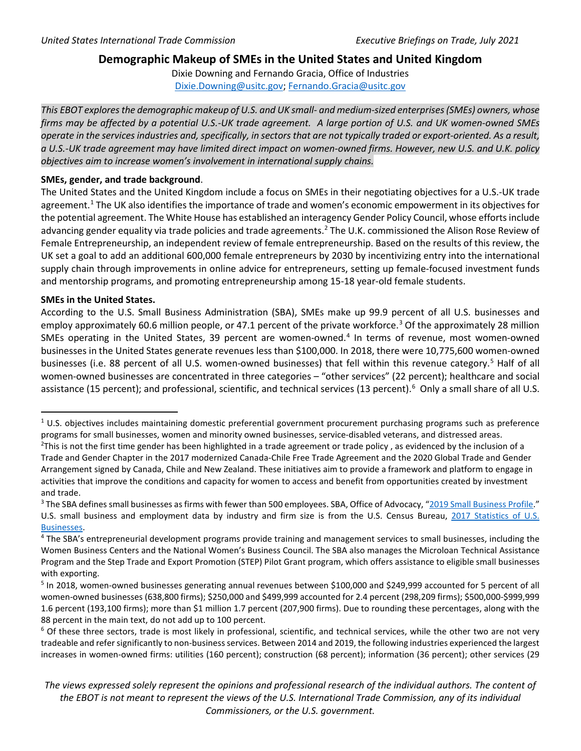# **Demographic Makeup of SMEs in the United States and United Kingdom**

Dixie Downing and Fernando Gracia, Office of Industries [Dixie.Downing@usitc.gov;](mailto:Dixie.Downing@usitc.gov) [Fernando.Gracia@usitc.gov](mailto:Fernando.Gracia@usitc.gov)

*This EBOT explores the demographic makeup of U.S. and UK small- and medium-sized enterprises (SMEs) owners, whose firms may be affected by a potential U.S.-UK trade agreement. A large portion of U.S. and UK women-owned SMEs operate in the services industries and, specifically, in sectorsthat are not typically traded or export-oriented. As a result, a U.S.-UK trade agreement may have limited direct impact on women-owned firms. However, new U.S. and U.K. policy objectives aim to increase women's involvement in international supply chains.*

### **SMEs, gender, and trade background**.

The United States and the United Kingdom include a focus on SMEs in their negotiating objectives for a U.S.-UK trade agreement.<sup>1</sup> The UK also identifies the importance of trade and women's economic empowerment in its objectives for the potential agreement. The White House has established an interagency Gender Policy Council, whose efforts include advancing gender equality via trade policies and trade agreements.<sup>[2](#page-0-0)</sup> The U.K. commissioned the Alison Rose Review of Female Entrepreneurship, an independent review of female entrepreneurship. Based on the results of this review, the UK set a goal to add an additional 600,000 female entrepreneurs by 2030 by incentivizing entry into the international supply chain through improvements in online advice for entrepreneurs, setting up female-focused investment funds and mentorship programs, and promoting entrepreneurship among 15-18 year-old female students.

# **SMEs in the United States.**

According to the U.S. Small Business Administration (SBA), SMEs make up 99.9 percent of all U.S. businesses and employ approximately 60.6 million people, or 47.1 percent of the private workforce.<sup>[3](#page-0-1)</sup> Of the approximately 28 million SMEs operating in the United States, 39 percent are women-owned. $4$  In terms of revenue, most women-owned businesses in the United States generate revenues less than \$100,000. In 2018, there were 10,775,600 women-owned businesses (i.e. 88 percent of all U.S. women-owned businesses) that fell within this revenue category.<sup>[5](#page-0-3)</sup> Half of all women-owned businesses are concentrated in three categories – "other services" (22 percent); healthcare and social assistance (15 percent); and professional, scientific, and technical services (13 percent).<sup>[6](#page-0-4)</sup> Only a small share of all U.S.

 $1$  U.S. objectives includes maintaining domestic preferential government procurement purchasing programs such as preference programs for small businesses, women and minority owned businesses, service-disabled veterans, and distressed areas. 2

<span id="page-0-0"></span> $<sup>2</sup>$ This is not the first time gender has been highlighted in a trade agreement or trade policy, as evidenced by the inclusion of a</sup> Trade and Gender Chapter in the 2017 modernized Canada-Chile Free Trade Agreement and the 2020 Global Trade and Gender Arrangement signed by Canada, Chile and New Zealand. These initiatives aim to provide a framework and platform to engage in activities that improve the conditions and capacity for women to access and benefit from opportunities created by investment and trade.

<span id="page-0-1"></span><sup>&</sup>lt;sup>3</sup> The SBA defines small businesses as firms with fewer than 500 employees. SBA, Office of Advocacy, ["2019 Small Business Profile.](https://advocacy.sba.gov/2019/04/24/2019-small-business-profiles-for-the-states-and-territories/)" U.S. small business and employment data by industry and firm size is from the U.S. Census Bureau, 2017 Statistics of U.S. [Businesses.](https://www.census.gov/data/tables/2017/econ/susb/2017-susb-annual.html)

<span id="page-0-2"></span><sup>&</sup>lt;sup>4</sup> The SBA's entrepreneurial development programs provide training and management services to small businesses, including the Women Business Centers and the National Women's Business Council. The SBA also manages the Microloan Technical Assistance Program and the Step Trade and Export Promotion (STEP) Pilot Grant program, which offers assistance to eligible small businesses with exporting.

<span id="page-0-3"></span><sup>&</sup>lt;sup>5</sup> In 2018, women-owned businesses generating annual revenues between \$100,000 and \$249,999 accounted for 5 percent of all women-owned businesses (638,800 firms); \$250,000 and \$499,999 accounted for 2.4 percent (298,209 firms); \$500,000-\$999,999 1.6 percent (193,100 firms); more than \$1 million 1.7 percent (207,900 firms). Due to rounding these percentages, along with the 88 percent in the main text, do not add up to 100 percent.

<span id="page-0-4"></span> $6$  Of these three sectors, trade is most likely in professional, scientific, and technical services, while the other two are not very tradeable and refer significantly to non-business services. Between 2014 and 2019, the following industries experienced the largest increases in women-owned firms: utilities (160 percent); construction (68 percent); information (36 percent); other services (29

*The views expressed solely represent the opinions and professional research of the individual authors. The content of*  the EBOT is not meant to represent the views of the U.S. International Trade Commission, any of its individual *Commissioners, or the U.S. government.*